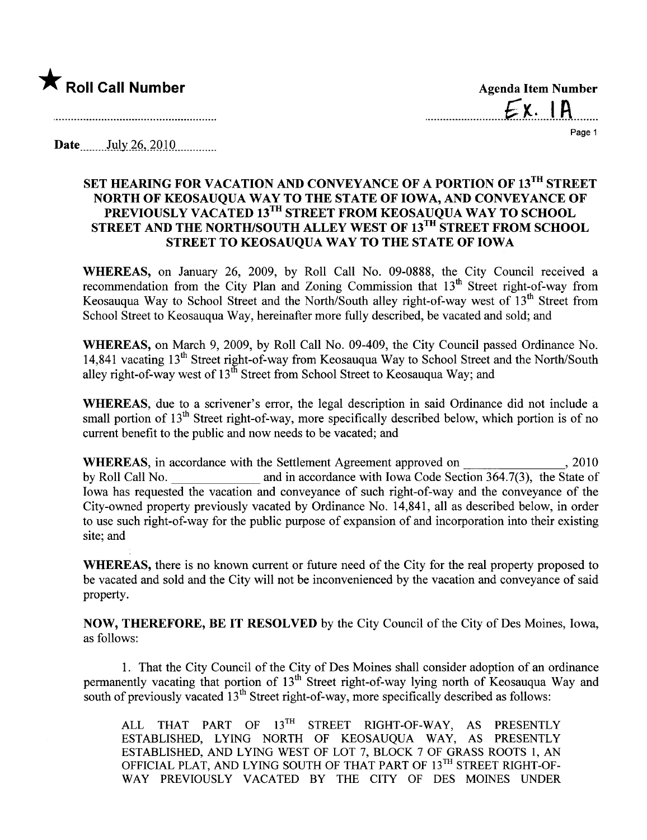

 $Ex. 1A$ 

Page 1

Date  $\qquad$  July 26, 2010

## SET HEARING FOR VACATION AND CONVEYANCE OF A PORTION OF 13TH STREET NORTH OF KEOSAUQUA WAY TO THE STATE OF IOWA, AND CONVEYANCE OF PREVIOUSLY VACATED 13<sup>1H</sup> STREET FROM KEOSAUQUA WAY TO SCHOOL STREET AND THE NORTH/SOUTH ALLEY WEST OF 13<sup>TH</sup> STREET FROM SCHOOL STREET TO KEOSAUQUA WAY TO THE STATE OF IOWA

WHEREAS, on January 26, 2009, by Roll Call No. 09-0888, the City Council received a recommendation from the City Plan and Zoning Commission that 13<sup>th</sup> Street right-of-way from Keosauqua Way to School Street and the North/South alley right-of-way west of 13<sup>th</sup> Street from School Street to Keosauqua Way, hereinafter more fully described, be vacated and sold; and

WHEREAS, on March 9, 2009, by Roll Call No. 09-409, the City Council passed Ordinance No. 14,841 vacating  $13<sup>th</sup>$  Street right-of-way from Keosauqua Way to School Street and the North/South alley right-of-way west of  $13^{th}$  Street from School Street to Keosauqua Way; and

WHEREAS, due to a scrivener's error, the legal description in said Ordinance did not include a small portion of  $13<sup>th</sup>$  Street right-of-way, more specifically described below, which portion is of no curent benefit to the public and now needs to be vacated; and

WHEREAS, in accordance with the Settlement Agreement approved on , 2010 by Roll Call No. and in accordance with Iowa Code Section 364.7(3), the State of Iowa has requested the vacation and conveyance of such right-of-way and the conveyance of the City-owned property previously vacated by Ordinance No. 14,841, all as described below, in order to use such right-of-way for the public purose of expansion of and incorporation into their existing site; and

WHEREAS, there is no known current or future need of the City for the real property proposed to be vacated and sold and the City will not be inconvenienced by the vacation and conveyance of said property.

NOW, THEREFORE, BE IT RESOLVED by the City Council of the City of Des Moines, Iowa, as follows:

1. That the City Council of the City of Des Moines shall consider adoption of an ordinance permanently vacating that portion of 13<sup>th</sup> Street right-of-way lying north of Keosauqua Way and south of previously vacated  $13<sup>th</sup>$  Street right-of-way, more specifically described as follows:

ALL THAT PART OF 13<sup>TH</sup> STREET RIGHT-OF-WAY, AS PRESENTLY ESTABLISHED, LYING NORTH OF KEOSAUQUA WAY, AS PRESENTLY ESTABLISHED, AND LYING WEST OF LOT 7, BLOCK 7 OF GRASS ROOTS 1, AN OFFICIAL PLAT, AND LYING SOUTH OF THAT PART OF 13TH STREET RIGHT-OF-WAY PREVIOUSLY VACATED BY THE CITY OF DES MOINES UNDER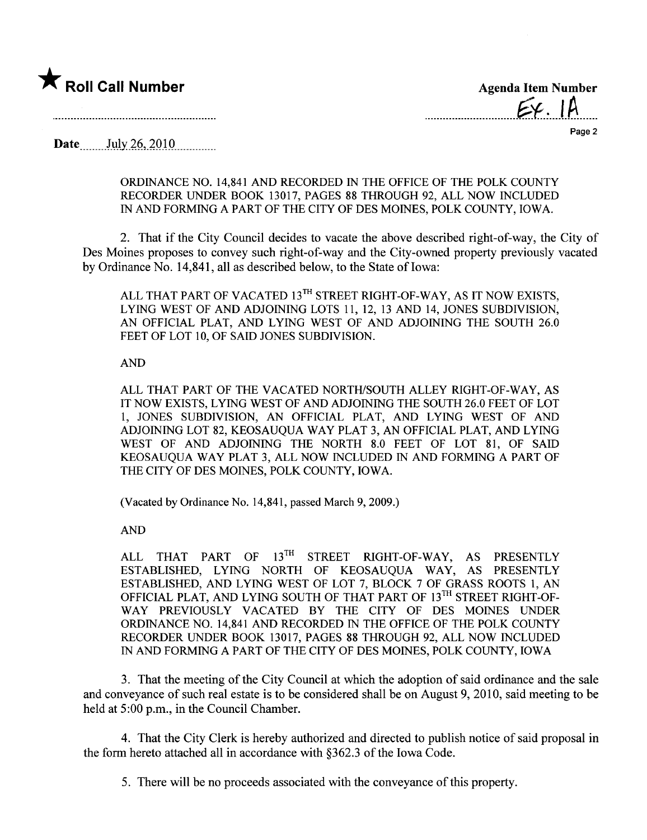

 $\epsilon$ .  $\mu$ 

Page 2

Date  $_{\text{July }26,2010}$ 

ORDINANCE NO. 14,841 AND RECORDED IN THE OFFICE OF THE POLK COUNTY RECORDER UNDER BOOK 13017, PAGES 88 THROUGH 92, ALL NOW INCLUDED IN AND FORMING A PART OF THE CITY OF DES MOINES, POLK COUNTY, IOWA.

2. That if the City Council decides to vacate the above described right-of-way, the City of Des Moines proposes to convey such right-of-way and the City-owned property previously vacated by Ordinance No. 14,841, all as described below, to the State of Iowa:

ALL THAT PART OF VACATED 13TH STREET RIGHT-OF-WAY, AS IT NOW EXISTS, LYING WEST OF AND ADJOINING LOTS 11, 12, 13 AND 14, JONES SUBDIVISION, AN OFFICIAL PLAT, AND LYING WEST OF AND ADJOINING THE SOUTH 26.0 FEET OF LOT 10, OF SAID JONES SUBDIVISION.

## AND

ALL THAT PART OF THE VACATED NORTH/SOUTH ALLEY RIGHT-OF-WAY, AS IT NOW EXISTS, LYING WEST OF AND ADJOINING THE SOUTH 26.0 FEET OF LOT 1, JONES SUBDIVISION, AN OFFICIAL PLAT, AND LYING WEST OF AND ADJOINING LOT 82, KEOSAUQUA WAY PLAT 3, AN OFFICIAL PLAT, AND LYING WEST OF AND ADJOINING THE NORTH 8.0 FEET OF LOT 81, OF SAID KEOSAUQUA WAY PLAT 3, ALL NOW INCLUDED IN AND FORMING A PART OF THE CITY OF DES MOINES, POLK COUNTY, IOWA.

(Vacated by Ordinance No. 14,841, passed March 9, 2009.)

AND

ALL THAT PART OF 13<sup>TH</sup> STREET RIGHT-OF-WAY, AS PRESENTLY ESTABLISHED, LYING NORTH OF KEOSAUQUA WAY, AS PRESENTLY ESTABLISHED, AND LYING WEST OF LOT 7, BLOCK 7 OF GRASS ROOTS 1, AN OFFICIAL PLAT, AND LYING SOUTH OF THAT PART OF 13<sup>TH</sup> STREET RIGHT-OF-WAY PREVIOUSLY VACATED BY THE CITY OF DES MOINES UNDER ORDINANCE NO. 14,841 AND RECORDED IN THE OFFICE OF THE POLK COUNTY RECORDER UNDER BOOK 13017, PAGES 88 THROUGH 92, ALL NOW INCLUDED IN AND FORMING APART OF THE CITY OF DES MOINES, POLK COUNTY, IOWA

3. That the meeting of the City Council at which the adoption of said ordinance and the sale and conveyance of such real estate is to be considered shall be on August 9,2010, said meeting to be held at 5:00 p.m., in the Council Chamber.

4. That the City Clerk is hereby authorized and directed to publish notice of said proposal in the form hereto attached all in accordance with §362.3 of the Iowa Code.

5. There will be no proceeds associated with the conveyance of this property.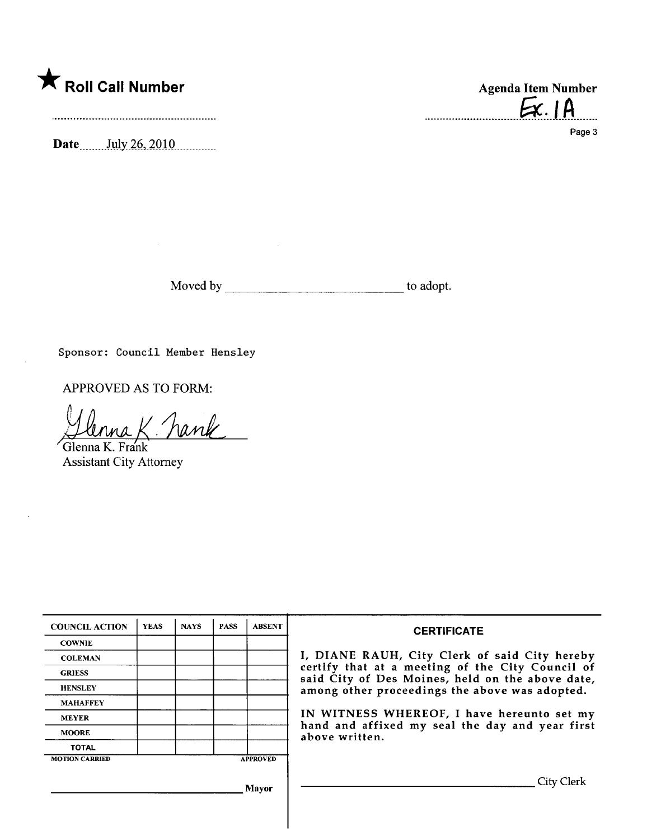

Date....... .Jl,iJy\_i~,)QJ Q\_\_\_\_ \_ \_\_\_\_\_\_\_

 $Ex.1A$ 

Page 3

Moved by to adopt.

Sponsor: Council Member Hensley

APPROVED AS TO FORM:

hank Glenna K. Frank

Assistant City Attorney

| <b>COUNCIL ACTION</b>                    | <b>YEAS</b> | <b>NAYS</b> | <b>PASS</b> | <b>ABSENT</b> | <b>CERTIFICATE</b>                                                                                                                                                                                                                                                                                                         |
|------------------------------------------|-------------|-------------|-------------|---------------|----------------------------------------------------------------------------------------------------------------------------------------------------------------------------------------------------------------------------------------------------------------------------------------------------------------------------|
| <b>COWNIE</b>                            |             |             |             |               | I, DIANE RAUH, City Clerk of said City hereby<br>certify that at a meeting of the City Council of<br>said City of Des Moines, held on the above date,<br>among other proceedings the above was adopted.<br>IN WITNESS WHEREOF, I have hereunto set my<br>hand and affixed my seal the day and year first<br>above written. |
| <b>COLEMAN</b>                           |             |             |             |               |                                                                                                                                                                                                                                                                                                                            |
| <b>GRIESS</b>                            |             |             |             |               |                                                                                                                                                                                                                                                                                                                            |
| <b>HENSLEY</b>                           |             |             |             |               |                                                                                                                                                                                                                                                                                                                            |
| <b>MAHAFFEY</b>                          |             |             |             |               |                                                                                                                                                                                                                                                                                                                            |
| <b>MEYER</b>                             |             |             |             |               |                                                                                                                                                                                                                                                                                                                            |
| <b>MOORE</b>                             |             |             |             |               |                                                                                                                                                                                                                                                                                                                            |
| <b>TOTAL</b>                             |             |             |             |               |                                                                                                                                                                                                                                                                                                                            |
| <b>MOTION CARRIED</b><br><b>APPROVED</b> |             |             |             |               |                                                                                                                                                                                                                                                                                                                            |
| Mayor                                    |             |             |             |               | City Clerk                                                                                                                                                                                                                                                                                                                 |